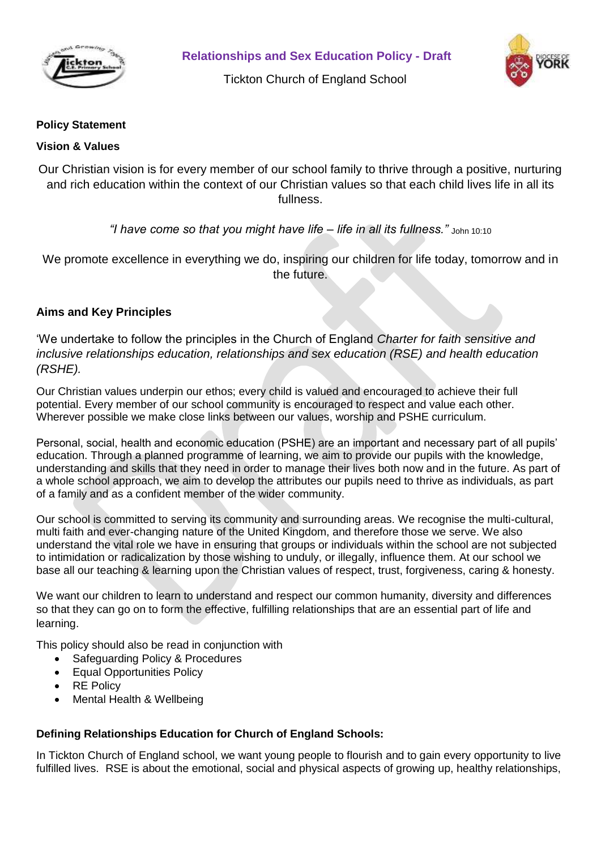

**Relationships and Sex Education Policy - Draft**

Tickton Church of England School



## **Policy Statement**

### **Vision & Values**

Our Christian vision is for every member of our school family to thrive through a positive, nurturing and rich education within the context of our Christian values so that each child lives life in all its fullness.

*"I have come so that you might have life – life in all its fullness."* John 10:10

We promote excellence in everything we do, inspiring our children for life today, tomorrow and in the future.

# **Aims and Key Principles**

'We undertake to follow the principles in the Church of England *Charter for faith sensitive and inclusive relationships education, relationships and sex education (RSE) and health education (RSHE).*

Our Christian values underpin our ethos; every child is valued and encouraged to achieve their full potential. Every member of our school community is encouraged to respect and value each other. Wherever possible we make close links between our values, worship and PSHE curriculum.

Personal, social, health and economic education (PSHE) are an important and necessary part of all pupils' education. Through a planned programme of learning, we aim to provide our pupils with the knowledge, understanding and skills that they need in order to manage their lives both now and in the future. As part of a whole school approach, we aim to develop the attributes our pupils need to thrive as individuals, as part of a family and as a confident member of the wider community.

Our school is committed to serving its community and surrounding areas. We recognise the multi-cultural, multi faith and ever-changing nature of the United Kingdom, and therefore those we serve. We also understand the vital role we have in ensuring that groups or individuals within the school are not subjected to intimidation or radicalization by those wishing to unduly, or illegally, influence them. At our school we base all our teaching & learning upon the Christian values of respect, trust, forgiveness, caring & honesty.

We want our children to learn to understand and respect our common humanity, diversity and differences so that they can go on to form the effective, fulfilling relationships that are an essential part of life and learning.

This policy should also be read in conjunction with

- Safeguarding Policy & Procedures
- Equal Opportunities Policy
- RE Policy
- Mental Health & Wellbeing

### **Defining Relationships Education for Church of England Schools:**

In Tickton Church of England school, we want young people to flourish and to gain every opportunity to live fulfilled lives. RSE is about the emotional, social and physical aspects of growing up, healthy relationships,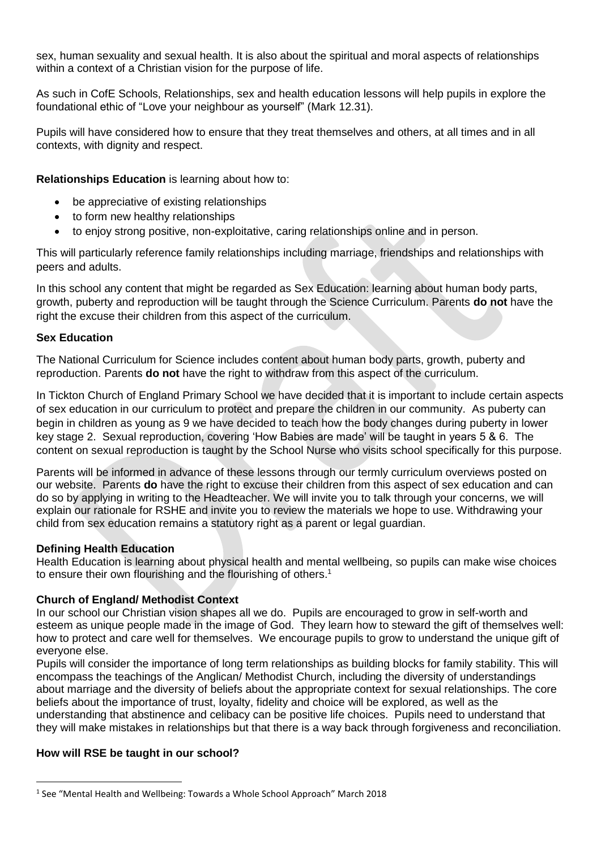sex, human sexuality and sexual health. It is also about the spiritual and moral aspects of relationships within a context of a Christian vision for the purpose of life.

As such in CofE Schools, Relationships, sex and health education lessons will help pupils in explore the foundational ethic of "Love your neighbour as yourself" (Mark 12.31).

Pupils will have considered how to ensure that they treat themselves and others, at all times and in all contexts, with dignity and respect.

**Relationships Education** is learning about how to:

- be appreciative of existing relationships
- to form new healthy relationships
- to enjoy strong positive, non-exploitative, caring relationships online and in person.

This will particularly reference family relationships including marriage, friendships and relationships with peers and adults.

In this school any content that might be regarded as Sex Education: learning about human body parts, growth, puberty and reproduction will be taught through the Science Curriculum. Parents **do not** have the right the excuse their children from this aspect of the curriculum.

### **Sex Education**

The National Curriculum for Science includes content about human body parts, growth, puberty and reproduction. Parents **do not** have the right to withdraw from this aspect of the curriculum.

In Tickton Church of England Primary School we have decided that it is important to include certain aspects of sex education in our curriculum to protect and prepare the children in our community. As puberty can begin in children as young as 9 we have decided to teach how the body changes during puberty in lower key stage 2. Sexual reproduction, covering 'How Babies are made' will be taught in years 5 & 6. The content on sexual reproduction is taught by the School Nurse who visits school specifically for this purpose.

Parents will be informed in advance of these lessons through our termly curriculum overviews posted on our website. Parents **do** have the right to excuse their children from this aspect of sex education and can do so by applying in writing to the Headteacher. We will invite you to talk through your concerns, we will explain our rationale for RSHE and invite you to review the materials we hope to use. Withdrawing your child from sex education remains a statutory right as a parent or legal guardian.

### **Defining Health Education**

Health Education is learning about physical health and mental wellbeing, so pupils can make wise choices to ensure their own flourishing and the flourishing of others. 1

### **Church of England/ Methodist Context**

In our school our Christian vision shapes all we do. Pupils are encouraged to grow in self-worth and esteem as unique people made in the image of God. They learn how to steward the gift of themselves well: how to protect and care well for themselves. We encourage pupils to grow to understand the unique gift of everyone else.

Pupils will consider the importance of long term relationships as building blocks for family stability. This will encompass the teachings of the Anglican/ Methodist Church, including the diversity of understandings about marriage and the diversity of beliefs about the appropriate context for sexual relationships. The core beliefs about the importance of trust, loyalty, fidelity and choice will be explored, as well as the understanding that abstinence and celibacy can be positive life choices. Pupils need to understand that they will make mistakes in relationships but that there is a way back through forgiveness and reconciliation.

### **How will RSE be taught in our school?**

 $\overline{a}$ 

<sup>&</sup>lt;sup>1</sup> See "Mental Health and Wellbeing: Towards a Whole School Approach" March 2018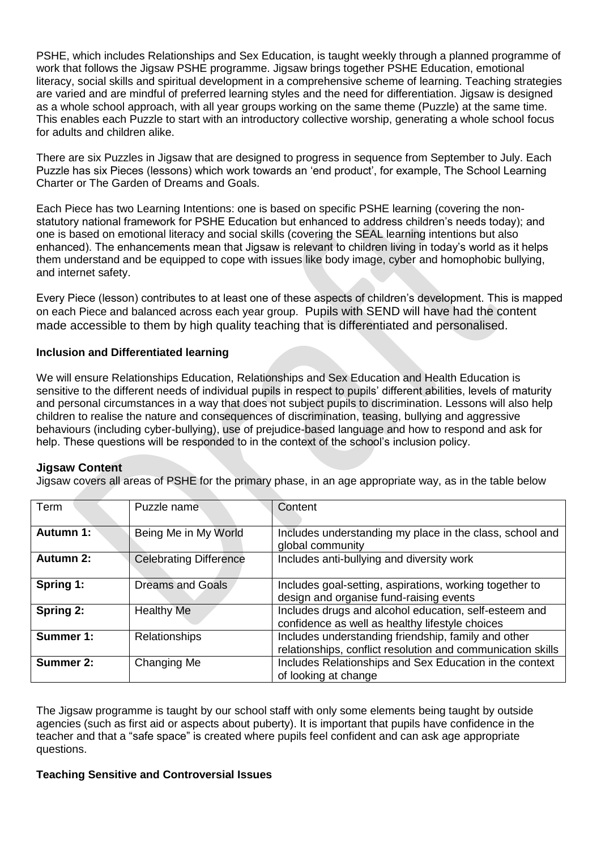PSHE, which includes Relationships and Sex Education, is taught weekly through a planned programme of work that follows the Jigsaw PSHE programme. Jigsaw brings together PSHE Education, emotional literacy, social skills and spiritual development in a comprehensive scheme of learning. Teaching strategies are varied and are mindful of preferred learning styles and the need for differentiation. Jigsaw is designed as a whole school approach, with all year groups working on the same theme (Puzzle) at the same time. This enables each Puzzle to start with an introductory collective worship, generating a whole school focus for adults and children alike.

There are six Puzzles in Jigsaw that are designed to progress in sequence from September to July. Each Puzzle has six Pieces (lessons) which work towards an 'end product', for example, The School Learning Charter or The Garden of Dreams and Goals.

Each Piece has two Learning Intentions: one is based on specific PSHE learning (covering the nonstatutory national framework for PSHE Education but enhanced to address children's needs today); and one is based on emotional literacy and social skills (covering the SEAL learning intentions but also enhanced). The enhancements mean that Jigsaw is relevant to children living in today's world as it helps them understand and be equipped to cope with issues like body image, cyber and homophobic bullying, and internet safety.

Every Piece (lesson) contributes to at least one of these aspects of children's development. This is mapped on each Piece and balanced across each year group. Pupils with SEND will have had the content made accessible to them by high quality teaching that is differentiated and personalised.

### **Inclusion and Differentiated learning**

We will ensure Relationships Education, Relationships and Sex Education and Health Education is sensitive to the different needs of individual pupils in respect to pupils' different abilities, levels of maturity and personal circumstances in a way that does not subject pupils to discrimination. Lessons will also help children to realise the nature and consequences of discrimination, teasing, bullying and aggressive behaviours (including cyber-bullying), use of prejudice-based language and how to respond and ask for help. These questions will be responded to in the context of the school's inclusion policy.

### **Jigsaw Content**

Jigsaw covers all areas of PSHE for the primary phase, in an age appropriate way, as in the table below

| Term             | Puzzle name                   | Content                                                                                                            |
|------------------|-------------------------------|--------------------------------------------------------------------------------------------------------------------|
| Autumn 1:        | Being Me in My World          | Includes understanding my place in the class, school and<br>global community                                       |
| <b>Autumn 2:</b> | <b>Celebrating Difference</b> | Includes anti-bullying and diversity work                                                                          |
| Spring 1:        | <b>Dreams and Goals</b>       | Includes goal-setting, aspirations, working together to<br>design and organise fund-raising events                 |
| Spring 2:        | <b>Healthy Me</b>             | Includes drugs and alcohol education, self-esteem and<br>confidence as well as healthy lifestyle choices           |
| Summer 1:        | <b>Relationships</b>          | Includes understanding friendship, family and other<br>relationships, conflict resolution and communication skills |
| Summer 2:        | Changing Me                   | Includes Relationships and Sex Education in the context<br>of looking at change                                    |

The Jigsaw programme is taught by our school staff with only some elements being taught by outside agencies (such as first aid or aspects about puberty). It is important that pupils have confidence in the teacher and that a "safe space" is created where pupils feel confident and can ask age appropriate questions.

### **Teaching Sensitive and Controversial Issues**